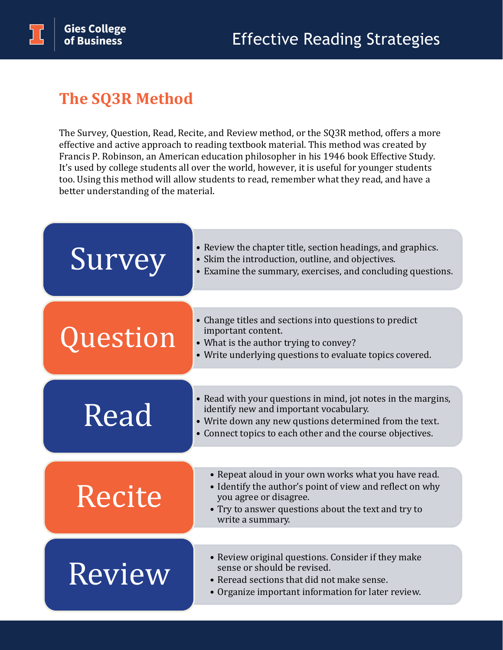## **The SQ3R Method**

The Survey, Question, Read, Recite, and Review method, or the SQ3R method, offers a more effective and active approach to reading textbook material. This method was created by Francis P. Robinson, an American education philosopher in his 1946 book Effective Study. It's used by college students all over the world, however, it is useful for younger students too. Using this method will allow students to read, remember what they read, and have a better understanding of the material.